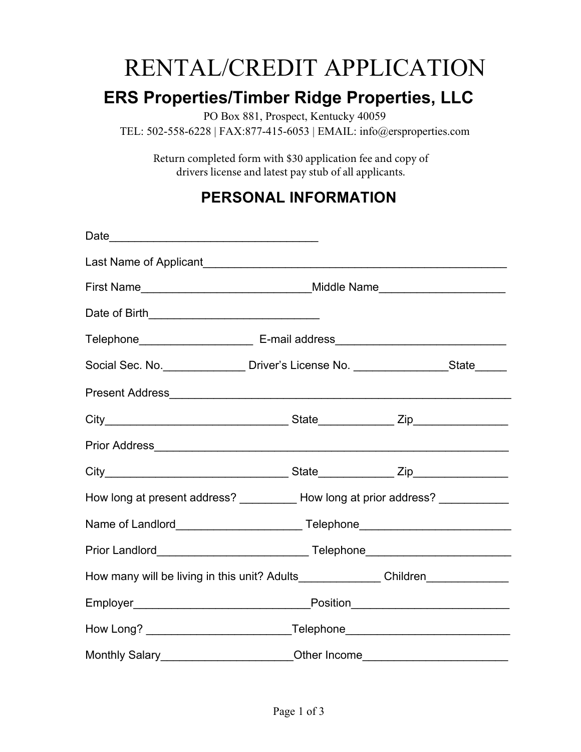# RENTAL/CREDIT APPLICATION

## **ERS Properties/Timber Ridge Properties, LLC**

PO Box 881, Prospect, Kentucky 40059

TEL: 502-558-6228 | FAX:877-415-6053 | EMAIL: info@ersproperties.com

Return completed form with \$30 application fee and copy of drivers license and latest pay stub of all applicants.

#### **PERSONAL INFORMATION**

| Last Name of Applicant <b>contained a large state of Applicant</b> Contract and Contract Contract Contract Contract Contract Contract Contract Contract Contract Contract Contract Contract Contract Contract Contract Contract Con |  |
|-------------------------------------------------------------------------------------------------------------------------------------------------------------------------------------------------------------------------------------|--|
|                                                                                                                                                                                                                                     |  |
|                                                                                                                                                                                                                                     |  |
|                                                                                                                                                                                                                                     |  |
| Social Sec. No. _________________ Driver's License No. ___________________State______                                                                                                                                               |  |
|                                                                                                                                                                                                                                     |  |
|                                                                                                                                                                                                                                     |  |
|                                                                                                                                                                                                                                     |  |
|                                                                                                                                                                                                                                     |  |
| How long at present address? ___________ How long at prior address? ____________                                                                                                                                                    |  |
|                                                                                                                                                                                                                                     |  |
|                                                                                                                                                                                                                                     |  |
| How many will be living in this unit? Adults________________Children_____________                                                                                                                                                   |  |
|                                                                                                                                                                                                                                     |  |
| How Long? ________________________________Telephone_____________________________                                                                                                                                                    |  |
| Monthly Salary________________________Other Income______________________________                                                                                                                                                    |  |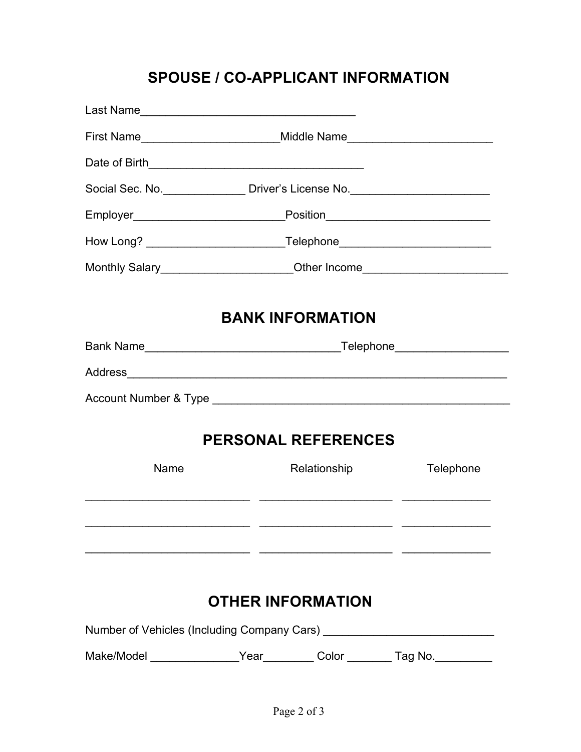## **SPOUSE / CO-APPLICANT INFORMATION**

|                                                                                                                | First Name________________________________Middle Name___________________________ |                                                                                  |  |  |  |  |  |
|----------------------------------------------------------------------------------------------------------------|----------------------------------------------------------------------------------|----------------------------------------------------------------------------------|--|--|--|--|--|
|                                                                                                                |                                                                                  |                                                                                  |  |  |  |  |  |
|                                                                                                                | Social Sec. No. ____________________ Driver's License No. ______________________ |                                                                                  |  |  |  |  |  |
|                                                                                                                |                                                                                  |                                                                                  |  |  |  |  |  |
|                                                                                                                | How Long? ________________________________Telephone_____________________________ |                                                                                  |  |  |  |  |  |
|                                                                                                                |                                                                                  | Monthly Salary________________________Other Income______________________________ |  |  |  |  |  |
|                                                                                                                |                                                                                  |                                                                                  |  |  |  |  |  |
| <b>BANK INFORMATION</b>                                                                                        |                                                                                  |                                                                                  |  |  |  |  |  |
|                                                                                                                |                                                                                  |                                                                                  |  |  |  |  |  |
|                                                                                                                |                                                                                  |                                                                                  |  |  |  |  |  |
|                                                                                                                |                                                                                  |                                                                                  |  |  |  |  |  |
| <b>PERSONAL REFERENCES</b>                                                                                     |                                                                                  |                                                                                  |  |  |  |  |  |
| Name                                                                                                           | Relationship                                                                     | Telephone                                                                        |  |  |  |  |  |
|                                                                                                                |                                                                                  |                                                                                  |  |  |  |  |  |
| <b>OTHER INFORMATION</b>                                                                                       |                                                                                  |                                                                                  |  |  |  |  |  |
| Number of Vehicles (Including Company Cars) [2010] [2010] [2010] [2010] [2010] [2010] [2010] [2010] [2010] [20 |                                                                                  |                                                                                  |  |  |  |  |  |
|                                                                                                                | Make/Model __________________Year__________Color _________Tag No. ______________ |                                                                                  |  |  |  |  |  |